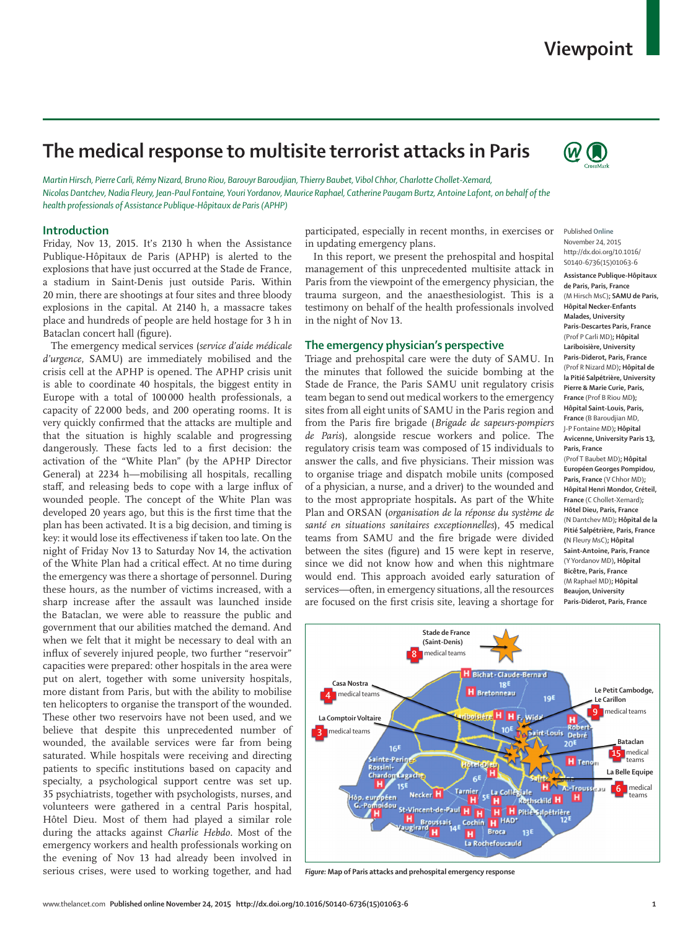# **Viewpoint**

# **The medical response to multisite terrorist attacks in Paris**

*Martin Hirsch, Pierre Carli, Rémy Nizard, Bruno Riou, Barouyr Baroudjian, Thierry Baubet, Vibol Chhor, Charlotte Chollet-Xemard, Nicolas Dantchev, Nadia Fleury, Jean-Paul Fontaine, Youri Yordanov, Maurice Raphael, Catherine Paugam Burtz, Antoine Lafont, on behalf of the health professionals of Assistance Publique-Hôpitaux de Paris (APHP)*

## **Introduction**

Friday, Nov 13, 2015. It's 2130 h when the Assistance Publique-Hôpitaux de Paris (APHP) is alerted to the explosions that have just occurred at the Stade de France, a stadium in Saint-Denis just outside Paris**.** Within 20 min, there are shootings at four sites and three bloody explosions in the capital. At 2140 h, a massacre takes place and hundreds of people are held hostage for 3 h in Bataclan concert hall (figure).

The emergency medical services (*service d'aide médicale d'urgence*, SAMU) are immediately mobilised and the crisis cell at the APHP is opened. The APHP crisis unit is able to coordinate 40 hospitals, the biggest entity in Europe with a total of 100 000 health professionals, a capacity of 22000 beds, and 200 operating rooms. It is very quickly confirmed that the attacks are multiple and that the situation is highly scalable and progressing dangerously. These facts led to a first decision: the activation of the "White Plan" (by the APHP Director General) at 2234 h—mobilising all hospitals, recalling staff, and releasing beds to cope with a large influx of wounded people. The concept of the White Plan was developed 20 years ago, but this is the first time that the plan has been activated. It is a big decision, and timing is key: it would lose its effectiveness if taken too late. On the night of Friday Nov 13 to Saturday Nov 14, the activation of the White Plan had a critical effect. At no time during the emergency was there a shortage of personnel. During these hours, as the number of victims increased, with a sharp increase after the assault was launched inside the Bataclan, we were able to reassure the public and government that our abilities matched the demand. And when we felt that it might be necessary to deal with an influx of severely injured people, two further "reservoir" capacities were prepared: other hospitals in the area were put on alert, together with some university hospitals, more distant from Paris, but with the ability to mobilise ten helicopters to organise the transport of the wounded. These other two reservoirs have not been used, and we believe that despite this unprecedented number of wounded, the available services were far from being saturated. While hospitals were receiving and directing patients to specific institutions based on capacity and specialty, a psychological support centre was set up. 35 psychiatrists, together with psychologists, nurses, and volunteers were gathered in a central Paris hospital, Hôtel Dieu. Most of them had played a similar role during the attacks against *Charlie Hebdo*. Most of the emergency workers and health professionals working on the evening of Nov 13 had already been involved in serious crises, were used to working together, and had participated, especially in recent months, in exercises or in updating emergency plans.

In this report, we present the prehospital and hospital management of this unprecedented multisite attack in Paris from the viewpoint of the emergency physician, the trauma surgeon, and the anaesthesiologist. This is a testimony on behalf of the health professionals involved in the night of Nov 13.

## **The emergency physician's perspective**

Triage and prehospital care were the duty of SAMU. In the minutes that followed the suicide bombing at the Stade de France, the Paris SAMU unit regulatory crisis team began to send out medical workers to the emergency sites from all eight units of SAMU in the Paris region and from the Paris fire brigade (*Brigade de sapeurs-pompiers de Paris*), alongside rescue workers and police. The regulatory crisis team was composed of 15 individuals to answer the calls, and five physicians. Their mission was to organise triage and dispatch mobile units (composed of a physician, a nurse, and a driver) to the wounded and to the most appropriate hospitals**.** As part of the White Plan and ORSAN (*organisation de la réponse du système de santé en situations sanitaires exceptionnelles*), 45 medical teams from SAMU and the fire brigade were divided between the sites (figure) and 15 were kept in reserve, since we did not know how and when this nightmare would end. This approach avoided early saturation of services—often, in emergency situations, all the resources are focused on the first crisis site, leaving a shortage for



Published **Online**

November 24, 2015 http://dx.doi.org/10.1016/ S0140-6736(15)01063-6 **Assistance Publique-Hôpitaux de Paris, Paris, France**  (M Hirsch MsC)**; SAMU de Paris, Hôpital Necker-Enfants Malades, University Paris-Descartes Paris, France**  (Prof P Carli MD)**; Hôpital Lariboisière, University Paris-Diderot, Paris, France**  (Prof R Nizard MD)**; Hôpital de la Pitié Salpétrière, University Pierre & Marie Curie, Paris, France** (Prof B Riou MD**); Hôpital Saint-Louis, Paris, France** (B Baroudjian MD, J-P Fontaine MD)**; Hôpital Avicenne, University Paris 13, Paris, France**  (Prof T Baubet MD)**; Hôpital Européen Georges Pompidou, Paris, France** (V Chhor MD)**; Hôpital Henri Mondor, Créteil, France** (C Chollet-Xemard)**; Hôtel Dieu, Paris, France**  (N Dantchev MD)**; Hôpital de la Pitié Salpétrière, Paris, France (**N Fleury MsC)**; Hôpital Saint-Antoine, Paris, France**  (Y Yordanov MD)**, Hôpital Bicêtre, Paris, France** (M Raphael MD)**; Hôpital Beaujon, University Paris-Diderot, Paris, France**



*Figure:* **Map of Paris attacks and prehospital emergency response**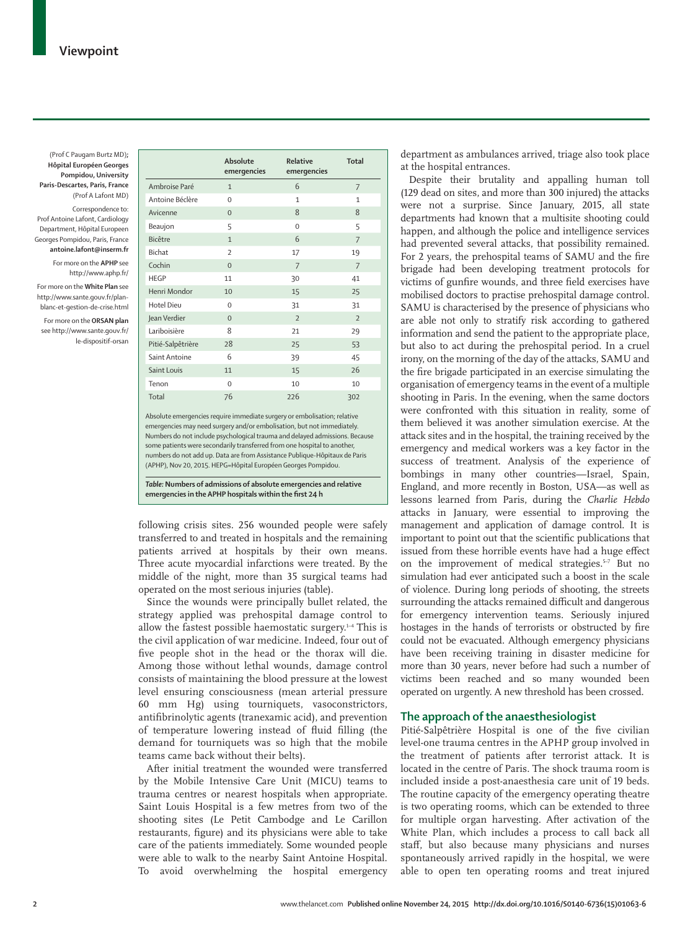(Prof C Paugam Burtz MD)**; Hôpital Européen Georges Pompidou, University Paris-Descartes, Paris, France** (Prof A Lafont MD)

Correspondence to: Prof Antoine Lafont, Cardiology Department, Hôpital Europeen Georges Pompidou, Paris, France **antoine.lafont@inserm.fr**

> For more on the **APHP** see http://www.aphp.fr/

For more on the **White Plan** see http://www.sante.gouv.fr/planblanc-et-gestion-de-crise.html

For more on the **ORSAN plan** see http://www.sante.gouv.fr/ le-dispositif-orsan

|                   | Absolute<br>emergencies  | Relative<br>emergencies  | <b>Total</b>             |
|-------------------|--------------------------|--------------------------|--------------------------|
| Ambroise Paré     | $\mathbf{1}$             | 6                        | $\overline{7}$           |
| Antoine Béclère   | $\Omega$                 | $\mathbf{1}$             | $\mathbf{1}$             |
| Avicenne          | $\Omega$                 | 8                        | 8                        |
| Beaujon           | 5                        | $\Omega$                 | 5                        |
| Bicêtre           | $\mathbf{1}$             | 6                        | $\overline{7}$           |
| <b>Bichat</b>     | $\overline{\phantom{a}}$ | 17                       | 19                       |
| Cochin            | $\Omega$                 | 7                        | $\overline{7}$           |
| <b>HEGP</b>       | 11                       | 30                       | 41                       |
| Henri Mondor      | 10                       | 15                       | 25                       |
| Hotel Dieu        | $\Omega$                 | 31                       | 31                       |
| Jean Verdier      | $\Omega$                 | $\overline{\phantom{a}}$ | $\overline{\phantom{a}}$ |
| Lariboisière      | 8                        | 21                       | 29                       |
| Pitié-Salpêtrière | 28                       | 25                       | 53                       |
| Saint Antoine     | 6                        | 39                       | 45                       |
| Saint Louis       | 11                       | 15                       | 26                       |
| Tenon             | $\Omega$                 | 10                       | 10                       |
| Total             | 76                       | 226                      | 302                      |

Absolute emergencies require immediate surgery or embolisation; relative emergencies may need surgery and/or embolisation, but not immediately. Numbers do not include psychological trauma and delayed admissions. Because some patients were secondarily transferred from one hospital to another, numbers do not add up. Data are from Assistance Publique-Hôpitaux de Paris (APHP), Nov 20, 2015. HEPG=Hôpital Européen Georges Pompidou.

*Table:* **Numbers of admissions of absolute emergencies and relative emergencies in the APHP hospitals within the first 24 h**

following crisis sites. 256 wounded people were safely transferred to and treated in hospitals and the remaining patients arrived at hospitals by their own means. Three acute myocardial infarctions were treated. By the middle of the night, more than 35 surgical teams had operated on the most serious injuries (table).

Since the wounds were principally bullet related, the strategy applied was prehospital damage control to allow the fastest possible haemostatic surgery. $14$  This is the civil application of war medicine. Indeed, four out of five people shot in the head or the thorax will die. Among those without lethal wounds, damage control consists of maintaining the blood pressure at the lowest level ensuring consciousness (mean arterial pressure 60 mm Hg) using tourniquets, vasoconstrictors, antifibrinolytic agents (tranexamic acid), and prevention of temperature lowering instead of fluid filling (the demand for tourniquets was so high that the mobile teams came back without their belts).

After initial treatment the wounded were transferred by the Mobile Intensive Care Unit (MICU) teams to trauma centres or nearest hospitals when appropriate. Saint Louis Hospital is a few metres from two of the shooting sites (Le Petit Cambodge and Le Carillon restaurants, figure) and its physicians were able to take care of the patients immediately. Some wounded people were able to walk to the nearby Saint Antoine Hospital. To avoid overwhelming the hospital emergency department as ambulances arrived, triage also took place at the hospital entrances.

Despite their brutality and appalling human toll (129 dead on sites, and more than 300 injured) the attacks were not a surprise. Since January, 2015, all state departments had known that a multisite shooting could happen, and although the police and intelligence services had prevented several attacks, that possibility remained. For 2 years, the prehospital teams of SAMU and the fire brigade had been developing treatment protocols for victims of gunfire wounds, and three field exercises have mobilised doctors to practise prehospital damage control. SAMU is characterised by the presence of physicians who are able not only to stratify risk according to gathered information and send the patient to the appropriate place, but also to act during the prehospital period. In a cruel irony, on the morning of the day of the attacks, SAMU and the fire brigade participated in an exercise simulating the organisation of emergency teams in the event of a multiple shooting in Paris. In the evening, when the same doctors were confronted with this situation in reality, some of them believed it was another simulation exercise. At the attack sites and in the hospital, the training received by the emergency and medical workers was a key factor in the success of treatment. Analysis of the experience of bombings in many other countries—Israel, Spain, England, and more recently in Boston, USA—as well as lessons learned from Paris, during the *Charlie Hebdo* attacks in January, were essential to improving the management and application of damage control. It is important to point out that the scientific publications that issued from these horrible events have had a huge effect on the improvement of medical strategies.<sup>5-7</sup> But no simulation had ever anticipated such a boost in the scale of violence. During long periods of shooting, the streets surrounding the attacks remained difficult and dangerous for emergency intervention teams. Seriously injured hostages in the hands of terrorists or obstructed by fire could not be evacuated. Although emergency physicians have been receiving training in disaster medicine for more than 30 years, never before had such a number of victims been reached and so many wounded been operated on urgently. A new threshold has been crossed.

## **The approach of the anaesthesiologist**

Pitié-Salpêtrière Hospital is one of the five civilian level-one trauma centres in the APHP group involved in the treatment of patients after terrorist attack. It is located in the centre of Paris. The shock trauma room is included inside a post-anaesthesia care unit of 19 beds. The routine capacity of the emergency operating theatre is two operating rooms, which can be extended to three for multiple organ harvesting. After activation of the White Plan, which includes a process to call back all staff, but also because many physicians and nurses spontaneously arrived rapidly in the hospital, we were able to open ten operating rooms and treat injured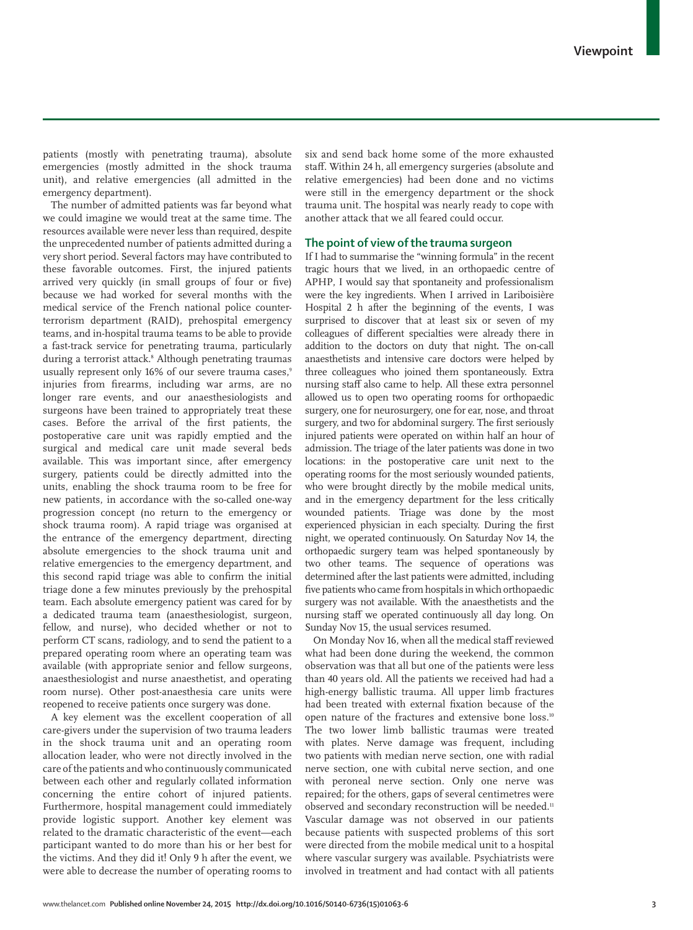patients (mostly with penetrating trauma), absolute emergencies (mostly admitted in the shock trauma unit), and relative emergencies (all admitted in the emergency department).

The number of admitted patients was far beyond what we could imagine we would treat at the same time. The resources available were never less than required, despite the unprecedented number of patients admitted during a very short period. Several factors may have contributed to these favorable outcomes. First, the injured patients arrived very quickly (in small groups of four or five) because we had worked for several months with the medical service of the French national police counterterrorism department (RAID), prehospital emergency teams, and in-hospital trauma teams to be able to provide a fast-track service for penetrating trauma, particularly during a terrorist attack.8 Although penetrating traumas usually represent only 16% of our severe trauma cases,<sup>9</sup> injuries from firearms, including war arms, are no longer rare events, and our anaesthesiologists and surgeons have been trained to appropriately treat these cases. Before the arrival of the first patients, the postoperative care unit was rapidly emptied and the surgical and medical care unit made several beds available. This was important since, after emergency surgery, patients could be directly admitted into the units, enabling the shock trauma room to be free for new patients, in accordance with the so-called one-way progression concept (no return to the emergency or shock trauma room). A rapid triage was organised at the entrance of the emergency department, directing absolute emergencies to the shock trauma unit and relative emergencies to the emergency department, and this second rapid triage was able to confirm the initial triage done a few minutes previously by the prehospital team. Each absolute emergency patient was cared for by a dedicated trauma team (anaesthesiologist, surgeon, fellow, and nurse), who decided whether or not to perform CT scans, radiology, and to send the patient to a prepared operating room where an operating team was available (with appropriate senior and fellow surgeons, anaesthesiologist and nurse anaesthetist, and operating room nurse). Other post-anaesthesia care units were reopened to receive patients once surgery was done.

A key element was the excellent cooperation of all care-givers under the supervision of two trauma leaders in the shock trauma unit and an operating room allocation leader, who were not directly involved in the care of the patients and who continuously communicated between each other and regularly collated information concerning the entire cohort of injured patients. Furthermore, hospital management could immediately provide logistic support. Another key element was related to the dramatic characteristic of the event—each participant wanted to do more than his or her best for the victims. And they did it! Only 9 h after the event, we were able to decrease the number of operating rooms to six and send back home some of the more exhausted staff. Within 24 h, all emergency surgeries (absolute and relative emergencies) had been done and no victims were still in the emergency department or the shock trauma unit. The hospital was nearly ready to cope with another attack that we all feared could occur.

# **The point of view of the trauma surgeon**

If I had to summarise the "winning formula" in the recent tragic hours that we lived, in an orthopaedic centre of APHP, I would say that spontaneity and professionalism were the key ingredients. When I arrived in Lariboisière Hospital 2 h after the beginning of the events, I was surprised to discover that at least six or seven of my colleagues of different specialties were already there in addition to the doctors on duty that night**.** The on-call anaesthetists and intensive care doctors were helped by three colleagues who joined them spontaneously. Extra nursing staff also came to help. All these extra personnel allowed us to open two operating rooms for orthopaedic surgery, one for neurosurgery, one for ear, nose, and throat surgery, and two for abdominal surgery. The first seriously injured patients were operated on within half an hour of admission. The triage of the later patients was done in two locations: in the postoperative care unit next to the operating rooms for the most seriously wounded patients, who were brought directly by the mobile medical units, and in the emergency department for the less critically wounded patients. Triage was done by the most experienced physician in each specialty. During the first night, we operated continuously. On Saturday Nov 14, the orthopaedic surgery team was helped spontaneously by two other teams. The sequence of operations was determined after the last patients were admitted, including five patients who came from hospitals in which orthopaedic surgery was not available. With the anaesthetists and the nursing staff we operated continuously all day long. On Sunday Nov 15, the usual services resumed.

On Monday Nov 16, when all the medical staff reviewed what had been done during the weekend, the common observation was that all but one of the patients were less than 40 years old. All the patients we received had had a high-energy ballistic trauma. All upper limb fractures had been treated with external fixation because of the open nature of the fractures and extensive bone loss.10 The two lower limb ballistic traumas were treated with plates. Nerve damage was frequent, including two patients with median nerve section, one with radial nerve section, one with cubital nerve section, and one with peroneal nerve section. Only one nerve was repaired; for the others, gaps of several centimetres were observed and secondary reconstruction will be needed.<sup>11</sup> Vascular damage was not observed in our patients because patients with suspected problems of this sort were directed from the mobile medical unit to a hospital where vascular surgery was available. Psychiatrists were involved in treatment and had contact with all patients